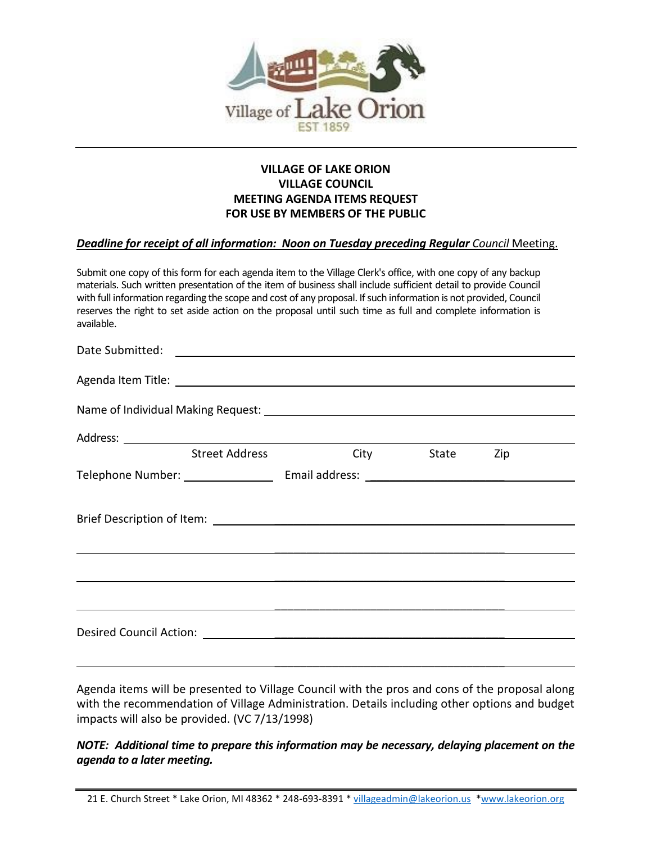

## **VILLAGE OF LAKE ORION VILLAGE COUNCIL MEETING AGENDA ITEMS REQUEST FOR USE BY MEMBERS OF THE PUBLIC**

## **Deadline for receipt of all information: Noon on Tuesday preceding Regular** Council Meeting.

Submit one copy of this form for each agenda item to the Village Clerk's office, with one copy of any backup materials. Such written presentation of the item of business shall include sufficient detail to provide Council with full information regarding the scope and cost of any proposal. If such information is not provided, Council reserves the right to set aside action on the proposal until such time as full and complete information is available.

| Agenda Item Title: <u>Agenda Item Title:</u> Agenda Item Title: Agenda Item Title: Agenda Item Title: Agenda Item Title |                              |  |                |  |
|-------------------------------------------------------------------------------------------------------------------------|------------------------------|--|----------------|--|
|                                                                                                                         |                              |  |                |  |
|                                                                                                                         |                              |  |                |  |
|                                                                                                                         | Street Address <b>Street</b> |  | City State Zip |  |
|                                                                                                                         |                              |  |                |  |
|                                                                                                                         |                              |  |                |  |
|                                                                                                                         |                              |  |                |  |
|                                                                                                                         |                              |  |                |  |
|                                                                                                                         |                              |  |                |  |
| ,我们也不会有什么?""我们的人,我们也不会有什么?""我们的人,我们也不会有什么?""我们的人,我们也不会有什么?""我们的人,我们也不会有什么?""我们的人                                        |                              |  |                |  |
|                                                                                                                         |                              |  |                |  |
|                                                                                                                         |                              |  |                |  |

Agenda items will be presented to Village Council with the pros and cons of the proposal along with the recommendation of Village Administration. Details including other options and budget impacts will also be provided. (VC 7/13/1998)

## *NOTE: Additional time to prepare this information may be necessary, delaying placement on the agenda to a later meeting.*